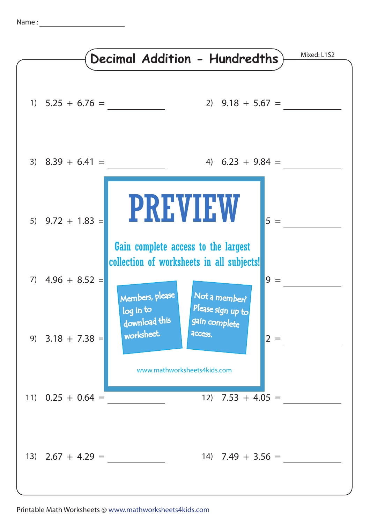